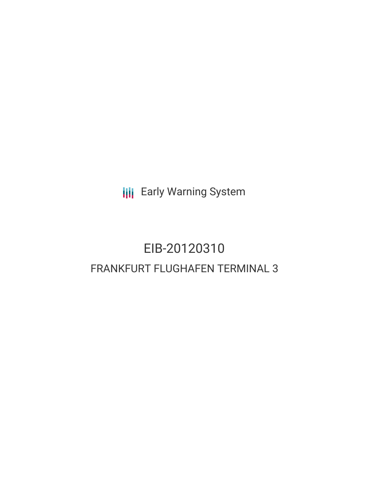**III** Early Warning System

# EIB-20120310 FRANKFURT FLUGHAFEN TERMINAL 3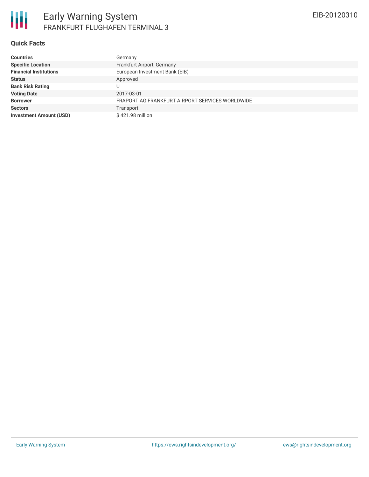#### **Quick Facts**

| <b>Countries</b>               | Germany                                         |
|--------------------------------|-------------------------------------------------|
| <b>Specific Location</b>       | Frankfurt Airport, Germany                      |
| <b>Financial Institutions</b>  | European Investment Bank (EIB)                  |
| <b>Status</b>                  | Approved                                        |
| <b>Bank Risk Rating</b>        |                                                 |
| <b>Voting Date</b>             | 2017-03-01                                      |
| <b>Borrower</b>                | FRAPORT AG FRANKFURT AIRPORT SERVICES WORLDWIDE |
| <b>Sectors</b>                 | Transport                                       |
| <b>Investment Amount (USD)</b> | \$421.98 million                                |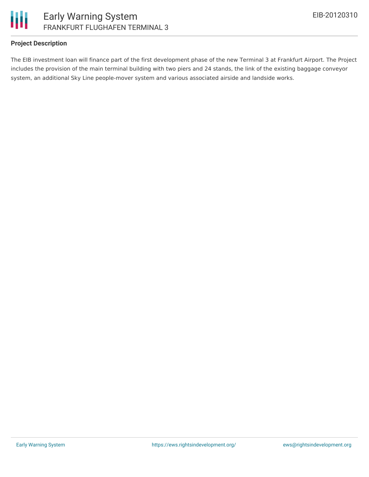

# **Project Description**

The EIB investment loan will finance part of the first development phase of the new Terminal 3 at Frankfurt Airport. The Project includes the provision of the main terminal building with two piers and 24 stands, the link of the existing baggage conveyor system, an additional Sky Line people-mover system and various associated airside and landside works.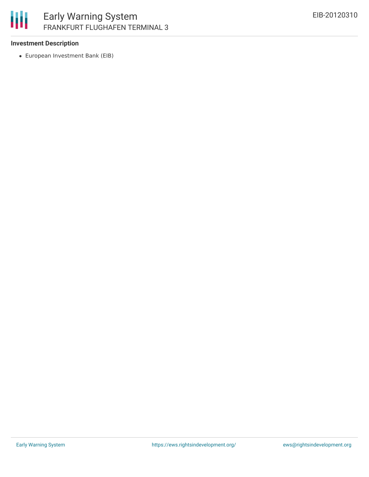

# **Investment Description**

European Investment Bank (EIB)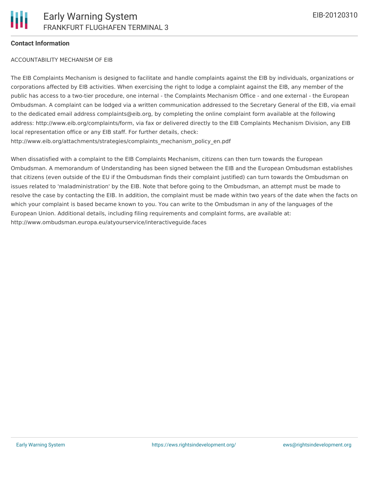### **Contact Information**

#### ACCOUNTABILITY MECHANISM OF EIB

The EIB Complaints Mechanism is designed to facilitate and handle complaints against the EIB by individuals, organizations or corporations affected by EIB activities. When exercising the right to lodge a complaint against the EIB, any member of the public has access to a two-tier procedure, one internal - the Complaints Mechanism Office - and one external - the European Ombudsman. A complaint can be lodged via a written communication addressed to the Secretary General of the EIB, via email to the dedicated email address complaints@eib.org, by completing the online complaint form available at the following address: http://www.eib.org/complaints/form, via fax or delivered directly to the EIB Complaints Mechanism Division, any EIB local representation office or any EIB staff. For further details, check: http://www.eib.org/attachments/strategies/complaints\_mechanism\_policy\_en.pdf

When dissatisfied with a complaint to the EIB Complaints Mechanism, citizens can then turn towards the European Ombudsman. A memorandum of Understanding has been signed between the EIB and the European Ombudsman establishes that citizens (even outside of the EU if the Ombudsman finds their complaint justified) can turn towards the Ombudsman on issues related to 'maladministration' by the EIB. Note that before going to the Ombudsman, an attempt must be made to resolve the case by contacting the EIB. In addition, the complaint must be made within two years of the date when the facts on which your complaint is based became known to you. You can write to the Ombudsman in any of the languages of the European Union. Additional details, including filing requirements and complaint forms, are available at: http://www.ombudsman.europa.eu/atyourservice/interactiveguide.faces